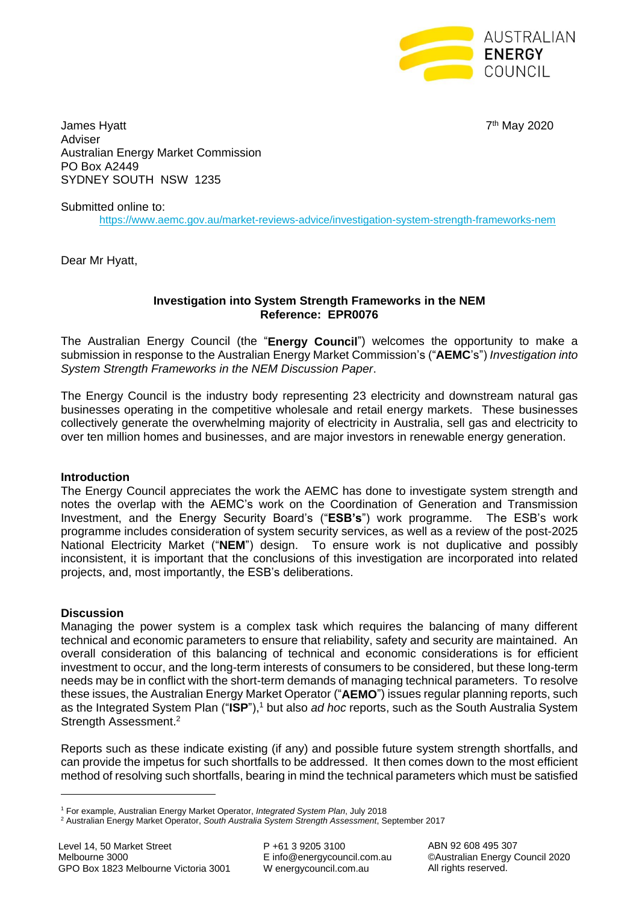

James Hyatt 7 Adviser Australian Energy Market Commission PO Box A2449 SYDNEY SOUTH NSW 1235

7<sup>th</sup> May 2020

Submitted online to:

<https://www.aemc.gov.au/market-reviews-advice/investigation-system-strength-frameworks-nem>

Dear Mr Hyatt,

### **Investigation into System Strength Frameworks in the NEM Reference: EPR0076**

The Australian Energy Council (the "**Energy Council**") welcomes the opportunity to make a submission in response to the Australian Energy Market Commission's ("**AEMC**'s") *Investigation into System Strength Frameworks in the NEM Discussion Paper*.

The Energy Council is the industry body representing 23 electricity and downstream natural gas businesses operating in the competitive wholesale and retail energy markets. These businesses collectively generate the overwhelming majority of electricity in Australia, sell gas and electricity to over ten million homes and businesses, and are major investors in renewable energy generation.

## **Introduction**

The Energy Council appreciates the work the AEMC has done to investigate system strength and notes the overlap with the AEMC's work on the Coordination of Generation and Transmission Investment, and the Energy Security Board's ("**ESB's**") work programme. The ESB's work programme includes consideration of system security services, as well as a review of the post-2025 National Electricity Market ("**NEM**") design. To ensure work is not duplicative and possibly inconsistent, it is important that the conclusions of this investigation are incorporated into related projects, and, most importantly, the ESB's deliberations.

## **Discussion**

 $\overline{a}$ 

Managing the power system is a complex task which requires the balancing of many different technical and economic parameters to ensure that reliability, safety and security are maintained. An overall consideration of this balancing of technical and economic considerations is for efficient investment to occur, and the long-term interests of consumers to be considered, but these long-term needs may be in conflict with the short-term demands of managing technical parameters. To resolve these issues, the Australian Energy Market Operator ("**AEMO**") issues regular planning reports, such as the Integrated System Plan ("**ISP**"), <sup>1</sup> but also *ad hoc* reports, such as the South Australia System Strength Assessment.<sup>2</sup>

Reports such as these indicate existing (if any) and possible future system strength shortfalls, and can provide the impetus for such shortfalls to be addressed. It then comes down to the most efficient method of resolving such shortfalls, bearing in mind the technical parameters which must be satisfied

P +61 3 9205 3100 E info@energycouncil.com.au W energycouncil.com.au

ABN 92 608 495 307 ©Australian Energy Council 2020 All rights reserved.

<sup>1</sup> For example, Australian Energy Market Operator, *Integrated System Plan*, July 2018

<sup>2</sup> Australian Energy Market Operator, *South Australia System Strength Assessment*, September 2017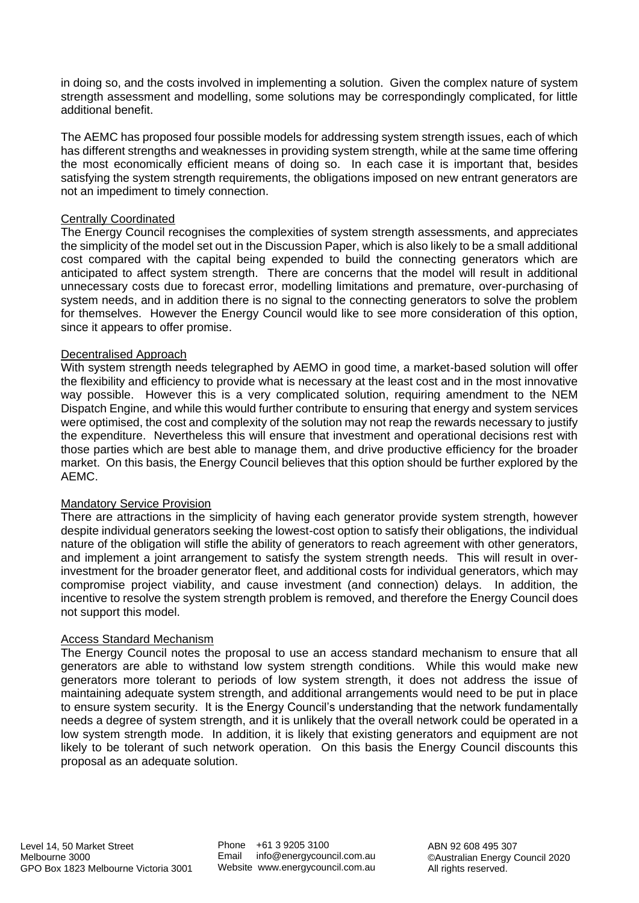in doing so, and the costs involved in implementing a solution. Given the complex nature of system strength assessment and modelling, some solutions may be correspondingly complicated, for little additional benefit.

The AEMC has proposed four possible models for addressing system strength issues, each of which has different strengths and weaknesses in providing system strength, while at the same time offering the most economically efficient means of doing so. In each case it is important that, besides satisfying the system strength requirements, the obligations imposed on new entrant generators are not an impediment to timely connection.

## Centrally Coordinated

The Energy Council recognises the complexities of system strength assessments, and appreciates the simplicity of the model set out in the Discussion Paper, which is also likely to be a small additional cost compared with the capital being expended to build the connecting generators which are anticipated to affect system strength. There are concerns that the model will result in additional unnecessary costs due to forecast error, modelling limitations and premature, over-purchasing of system needs, and in addition there is no signal to the connecting generators to solve the problem for themselves. However the Energy Council would like to see more consideration of this option, since it appears to offer promise.

### Decentralised Approach

With system strength needs telegraphed by AEMO in good time, a market-based solution will offer the flexibility and efficiency to provide what is necessary at the least cost and in the most innovative way possible. However this is a very complicated solution, requiring amendment to the NEM Dispatch Engine, and while this would further contribute to ensuring that energy and system services were optimised, the cost and complexity of the solution may not reap the rewards necessary to justify the expenditure. Nevertheless this will ensure that investment and operational decisions rest with those parties which are best able to manage them, and drive productive efficiency for the broader market. On this basis, the Energy Council believes that this option should be further explored by the AEMC.

## Mandatory Service Provision

There are attractions in the simplicity of having each generator provide system strength, however despite individual generators seeking the lowest-cost option to satisfy their obligations, the individual nature of the obligation will stifle the ability of generators to reach agreement with other generators, and implement a joint arrangement to satisfy the system strength needs. This will result in overinvestment for the broader generator fleet, and additional costs for individual generators, which may compromise project viability, and cause investment (and connection) delays. In addition, the incentive to resolve the system strength problem is removed, and therefore the Energy Council does not support this model.

#### Access Standard Mechanism

The Energy Council notes the proposal to use an access standard mechanism to ensure that all generators are able to withstand low system strength conditions. While this would make new generators more tolerant to periods of low system strength, it does not address the issue of maintaining adequate system strength, and additional arrangements would need to be put in place to ensure system security. It is the Energy Council's understanding that the network fundamentally needs a degree of system strength, and it is unlikely that the overall network could be operated in a low system strength mode. In addition, it is likely that existing generators and equipment are not likely to be tolerant of such network operation. On this basis the Energy Council discounts this proposal as an adequate solution.

Phone +61 3 9205 3100 Email info@energycouncil.com.au Website www.energycouncil.com.au